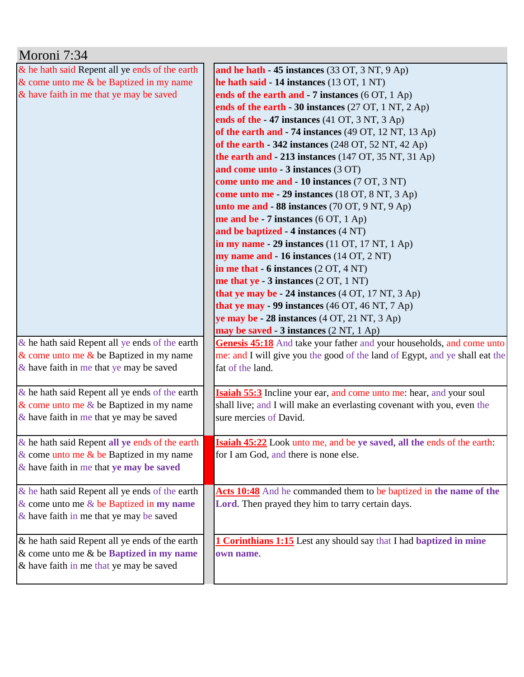| Moroni 7:34                                       |                                                                                |
|---------------------------------------------------|--------------------------------------------------------------------------------|
| & he hath said Repent all ye ends of the earth    | and he hath - 45 instances (33 OT, 3 NT, 9 Ap)                                 |
| $&$ come unto me $&$ be Baptized in my name       | he hath said - 14 instances (13 OT, 1 NT)                                      |
| & have faith in me that ye may be saved           | ends of the earth and $-7$ instances (6 OT, 1 Ap)                              |
|                                                   | ends of the earth - 30 instances $(27 \text{ OT}, 1 \text{ NT}, 2 \text{ Ap})$ |
|                                                   | ends of the - 47 instances (41 OT, 3 NT, 3 Ap)                                 |
|                                                   | of the earth and $-74$ instances (49 OT, 12 NT, 13 Ap)                         |
|                                                   | of the earth - 342 instances (248 OT, 52 NT, 42 Ap)                            |
|                                                   | the earth and $-213$ instances (147 OT, 35 NT, 31 Ap)                          |
|                                                   | and come unto - 3 instances (3 OT)                                             |
|                                                   | come unto me and - 10 instances (7 OT, 3 NT)                                   |
|                                                   | come unto me - 29 instances (18 OT, 8 NT, 3 Ap)                                |
|                                                   | unto me and - 88 instances (70 OT, 9 NT, 9 Ap)                                 |
|                                                   | me and be $-7$ instances (6 OT, 1 Ap)                                          |
|                                                   | and be baptized - 4 instances (4 NT)                                           |
|                                                   | in my name $-29$ instances (11 OT, 17 NT, 1 Ap)                                |
|                                                   | my name and - 16 instances (14 OT, 2 NT)                                       |
|                                                   | in me that $-6$ instances $(2 OT, 4 NT)$                                       |
|                                                   | me that ye $-3$ instances $(2 OT, 1 NT)$                                       |
|                                                   | that ye may be $-24$ instances $(4 OT, 17 NT, 3 Ap)$                           |
|                                                   | that ye may $-99$ instances (46 OT, 46 NT, 7 Ap)                               |
|                                                   | ye may be - 28 instances (4 OT, 21 NT, 3 Ap)                                   |
|                                                   | <b>may be saved - 3 instances</b> (2 NT, 1 Ap)                                 |
| $\&$ he hath said Repent all ye ends of the earth | Genesis 45:18 And take your father and your households, and come unto          |
| $\&$ come unto me $\&$ be Baptized in my name     | me: and I will give you the good of the land of Egypt, and ye shall eat the    |
| & have faith in me that ye may be saved           | fat of the land.                                                               |
|                                                   |                                                                                |
| $\&$ he hath said Repent all ye ends of the earth | <b>Isaiah 55:3</b> Incline your ear, and come unto me: hear, and your soul     |
| $\&$ come unto me $\&$ be Baptized in my name     | shall live; and I will make an everlasting covenant with you, even the         |
| $\&$ have faith in me that ye may be saved        | sure mercies of David.                                                         |
|                                                   |                                                                                |
| & he hath said Repent all ye ends of the earth    | Isaiah 45:22 Look unto me, and be ye saved, all the ends of the earth:         |
| $\&$ come unto me $\&$ be Baptized in my name     | for I am God, and there is none else.                                          |
| & have faith in me that ye may be saved           |                                                                                |
|                                                   |                                                                                |
| & he hath said Repent all ye ends of the earth    | Acts 10:48 And he commanded them to be baptized in the name of the             |
| $&$ come unto me $&$ be Baptized in my name       | Lord. Then prayed they him to tarry certain days.                              |
| & have faith in me that ye may be saved           |                                                                                |
| & he hath said Repent all ye ends of the earth    | <b>1 Corinthians 1:15</b> Lest any should say that I had baptized in mine      |
| $&$ come unto me $&$ be Baptized in my name       | own name.                                                                      |
| & have faith in me that ye may be saved           |                                                                                |
|                                                   |                                                                                |
|                                                   |                                                                                |